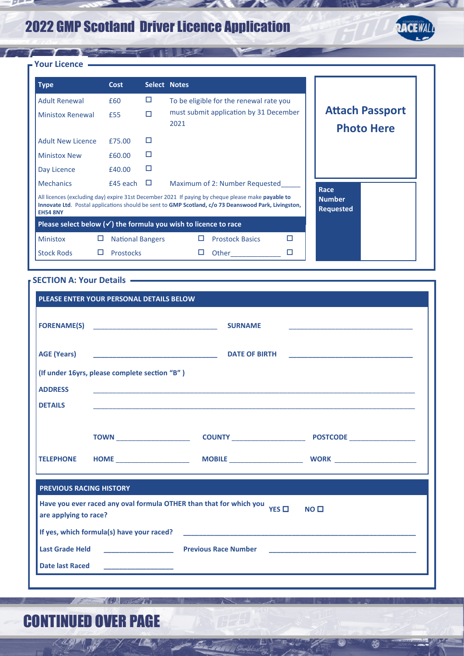# 2022 GMP Scotland Driver Licence Application



### $f: f \to \infty$ **Your Licence**

 $\overline{p}$ 

| <b>Type</b>              | Cost                    |        | Select Notes                                                                                                                                                                                              |   |                                   |                                             |
|--------------------------|-------------------------|--------|-----------------------------------------------------------------------------------------------------------------------------------------------------------------------------------------------------------|---|-----------------------------------|---------------------------------------------|
| <b>Adult Renewal</b>     | £60                     | □      | To be eligible for the renewal rate you                                                                                                                                                                   |   |                                   |                                             |
| <b>Ministox Renewal</b>  | £55                     | п      | must submit application by 31 December<br>2021                                                                                                                                                            |   |                                   | <b>Attach Passport</b><br><b>Photo Here</b> |
| <b>Adult New Licence</b> | £75.00                  | П      |                                                                                                                                                                                                           |   |                                   |                                             |
| <b>Ministox New</b>      | £60.00                  | П      |                                                                                                                                                                                                           |   |                                   |                                             |
| Day Licence              | £40.00                  | П      |                                                                                                                                                                                                           |   |                                   |                                             |
| <b>Mechanics</b>         | £45 each                | $\Box$ | Maximum of 2: Number Requested                                                                                                                                                                            |   | Race                              |                                             |
| <b>EH54 8NY</b>          |                         |        | All licences (excluding day) expire 31st December 2021 If paying by cheque please make payable to<br>Innovate Ltd. Postal applications should be sent to GMP Scotland, c/o 73 Deanswood Park, Livingston, |   | <b>Number</b><br><b>Requested</b> |                                             |
|                          |                         |        | Please select below $(\checkmark)$ the formula you wish to licence to race                                                                                                                                |   |                                   |                                             |
| □<br><b>Ministox</b>     | <b>National Bangers</b> |        | <b>Prostock Basics</b><br>□                                                                                                                                                                               | п |                                   |                                             |
| <b>Stock Rods</b><br>ப   | <b>Prostocks</b>        |        | Other                                                                                                                                                                                                     | ⊔ |                                   |                                             |

78

#### **SECTION A: Your Details**

| PLEASE ENTER YOUR PERSONAL DETAILS BELOW                                                                                  |                                               |                      |  |  |  |  |  |
|---------------------------------------------------------------------------------------------------------------------------|-----------------------------------------------|----------------------|--|--|--|--|--|
|                                                                                                                           |                                               | <b>SURNAME</b>       |  |  |  |  |  |
| <b>AGE (Years)</b>                                                                                                        |                                               | <b>DATE OF BIRTH</b> |  |  |  |  |  |
|                                                                                                                           | (If under 16yrs, please complete section "B") |                      |  |  |  |  |  |
| <b>ADDRESS</b>                                                                                                            |                                               |                      |  |  |  |  |  |
| <b>DETAILS</b>                                                                                                            |                                               |                      |  |  |  |  |  |
|                                                                                                                           |                                               |                      |  |  |  |  |  |
|                                                                                                                           |                                               |                      |  |  |  |  |  |
|                                                                                                                           |                                               |                      |  |  |  |  |  |
| <b>PREVIOUS RACING HISTORY</b>                                                                                            |                                               |                      |  |  |  |  |  |
| Have you ever raced any oval formula OTHER than that for which you YES $\Box$<br>NO <sub>1</sub><br>are applying to race? |                                               |                      |  |  |  |  |  |
| If yes, which formula(s) have your raced?                                                                                 |                                               |                      |  |  |  |  |  |
| <b>Last Grade Held</b>                                                                                                    |                                               |                      |  |  |  |  |  |
| <b>Date last Raced</b>                                                                                                    |                                               |                      |  |  |  |  |  |
|                                                                                                                           |                                               |                      |  |  |  |  |  |

18

网

 $\frac{1}{2}$  and  $\frac{1}{2}$ 

# CONTINUED OVER PAGE

**The Latter The Common** 

 $T_{\rm{max}}$